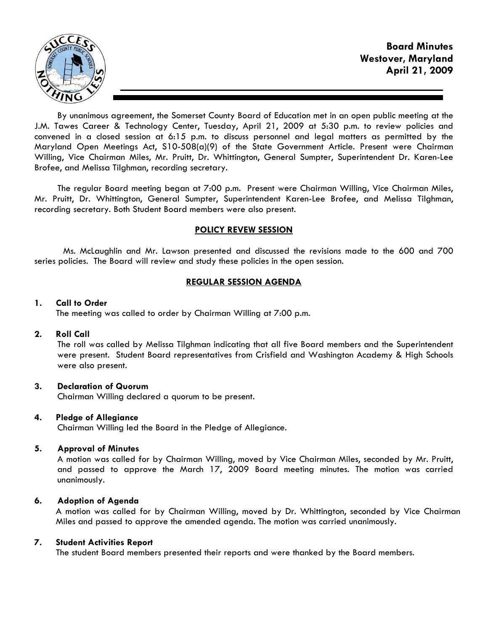

By unanimous agreement, the Somerset County Board of Education met in an open public meeting at the J.M. Tawes Career & Technology Center, Tuesday, April 21, 2009 at 5:30 p.m. to review policies and convened in a closed session at 6:15 p.m. to discuss personnel and legal matters as permitted by the Maryland Open Meetings Act, S10-508(a)(9) of the State Government Article. Present were Chairman Willing, Vice Chairman Miles, Mr. Pruitt, Dr. Whittington, General Sumpter, Superintendent Dr. Karen-Lee Brofee, and Melissa Tilghman, recording secretary.

The regular Board meeting began at 7:00 p.m. Present were Chairman Willing, Vice Chairman Miles, Mr. Pruitt, Dr. Whittington, General Sumpter, Superintendent Karen-Lee Brofee, and Melissa Tilghman, recording secretary. Both Student Board members were also present.

## POLICY REVEW SESSION

 Ms. McLaughlin and Mr. Lawson presented and discussed the revisions made to the 600 and 700 series policies. The Board will review and study these policies in the open session.

# REGULAR SESSION AGENDA

## 1. Call to Order

The meeting was called to order by Chairman Willing at 7:00 p.m.

## 2. Roll Call

The roll was called by Melissa Tilghman indicating that all five Board members and the Superintendent were present. Student Board representatives from Crisfield and Washington Academy & High Schools were also present.

## 3. Declaration of Quorum

Chairman Willing declared a quorum to be present.

## 4. Pledge of Allegiance

Chairman Willing led the Board in the Pledge of Allegiance.

## 5. Approval of Minutes

 A motion was called for by Chairman Willing, moved by Vice Chairman Miles, seconded by Mr. Pruitt, and passed to approve the March 17, 2009 Board meeting minutes. The motion was carried unanimously.

## 6. Adoption of Agenda

 A motion was called for by Chairman Willing, moved by Dr. Whittington, seconded by Vice Chairman Miles and passed to approve the amended agenda. The motion was carried unanimously.

## 7. Student Activities Report

The student Board members presented their reports and were thanked by the Board members.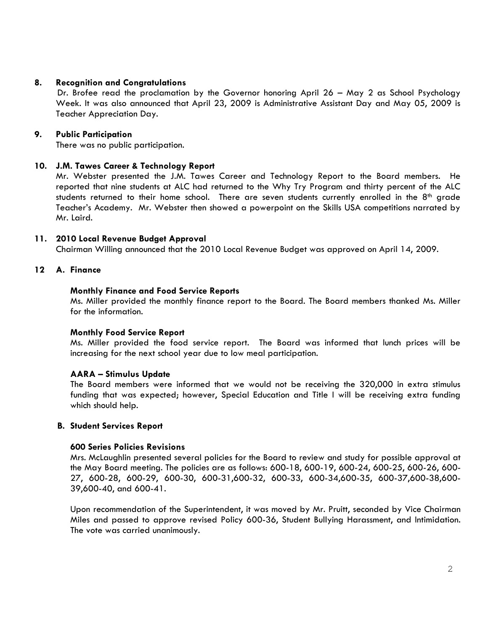## 8. Recognition and Congratulations

 Dr. Brofee read the proclamation by the Governor honoring April 26 – May 2 as School Psychology Week. It was also announced that April 23, 2009 is Administrative Assistant Day and May 05, 2009 is Teacher Appreciation Day.

## 9. Public Participation

There was no public participation.

## 10. J.M. Tawes Career & Technology Report

 Mr. Webster presented the J.M. Tawes Career and Technology Report to the Board members. He reported that nine students at ALC had returned to the Why Try Program and thirty percent of the ALC students returned to their home school. There are seven students currently enrolled in the 8<sup>th</sup> grade Teacher's Academy. Mr. Webster then showed a powerpoint on the Skills USA competitions narrated by Mr. Laird.

## 11. 2010 Local Revenue Budget Approval

Chairman Willing announced that the 2010 Local Revenue Budget was approved on April 14, 2009.

## 12 A. Finance

#### Monthly Finance and Food Service Reports

Ms. Miller provided the monthly finance report to the Board. The Board members thanked Ms. Miller for the information.

## Monthly Food Service Report

Ms. Miller provided the food service report. The Board was informed that lunch prices will be increasing for the next school year due to low meal participation.

## AARA – Stimulus Update

The Board members were informed that we would not be receiving the 320,000 in extra stimulus funding that was expected; however, Special Education and Title I will be receiving extra funding which should help.

## B. Student Services Report

## 600 Series Policies Revisions

Mrs. McLaughlin presented several policies for the Board to review and study for possible approval at the May Board meeting. The policies are as follows: 600-18, 600-19, 600-24, 600-25, 600-26, 600- 27, 600-28, 600-29, 600-30, 600-31,600-32, 600-33, 600-34,600-35, 600-37,600-38,600- 39,600-40, and 600-41.

Upon recommendation of the Superintendent, it was moved by Mr. Pruitt, seconded by Vice Chairman Miles and passed to approve revised Policy 600-36, Student Bullying Harassment, and Intimidation. The vote was carried unanimously.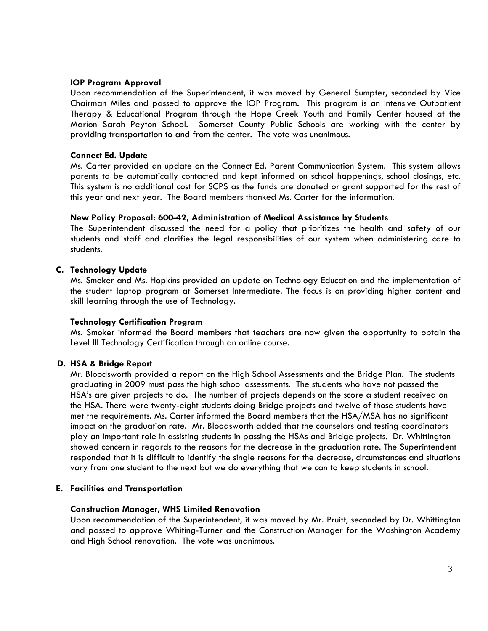## IOP Program Approval

Upon recommendation of the Superintendent, it was moved by General Sumpter, seconded by Vice Chairman Miles and passed to approve the IOP Program. This program is an Intensive Outpatient Therapy & Educational Program through the Hope Creek Youth and Family Center housed at the Marion Sarah Peyton School. Somerset County Public Schools are working with the center by providing transportation to and from the center. The vote was unanimous.

#### Connect Ed. Update

Ms. Carter provided an update on the Connect Ed. Parent Communication System. This system allows parents to be automatically contacted and kept informed on school happenings, school closings, etc. This system is no additional cost for SCPS as the funds are donated or grant supported for the rest of this year and next year. The Board members thanked Ms. Carter for the information.

#### New Policy Proposal: 600-42, Administration of Medical Assistance by Students

The Superintendent discussed the need for a policy that prioritizes the health and safety of our students and staff and clarifies the legal responsibilities of our system when administering care to students.

## C. Technology Update

 Ms. Smoker and Ms. Hopkins provided an update on Technology Education and the implementation of the student laptop program at Somerset Intermediate. The focus is on providing higher content and skill learning through the use of Technology.

## Technology Certification Program

 Ms. Smoker informed the Board members that teachers are now given the opportunity to obtain the Level III Technology Certification through an online course.

## D. HSA & Bridge Report

 Mr. Bloodsworth provided a report on the High School Assessments and the Bridge Plan. The students graduating in 2009 must pass the high school assessments. The students who have not passed the HSA's are given projects to do. The number of projects depends on the score a student received on the HSA. There were twenty-eight students doing Bridge projects and twelve of those students have met the requirements. Ms. Carter informed the Board members that the HSA/MSA has no significant impact on the graduation rate. Mr. Bloodsworth added that the counselors and testing coordinators play an important role in assisting students in passing the HSAs and Bridge projects. Dr. Whittington showed concern in regards to the reasons for the decrease in the graduation rate. The Superintendent responded that it is difficult to identify the single reasons for the decrease, circumstances and situations vary from one student to the next but we do everything that we can to keep students in school.

## E. Facilities and Transportation

#### Construction Manager, WHS Limited Renovation

Upon recommendation of the Superintendent, it was moved by Mr. Pruitt, seconded by Dr. Whittington and passed to approve Whiting-Turner and the Construction Manager for the Washington Academy and High School renovation. The vote was unanimous.